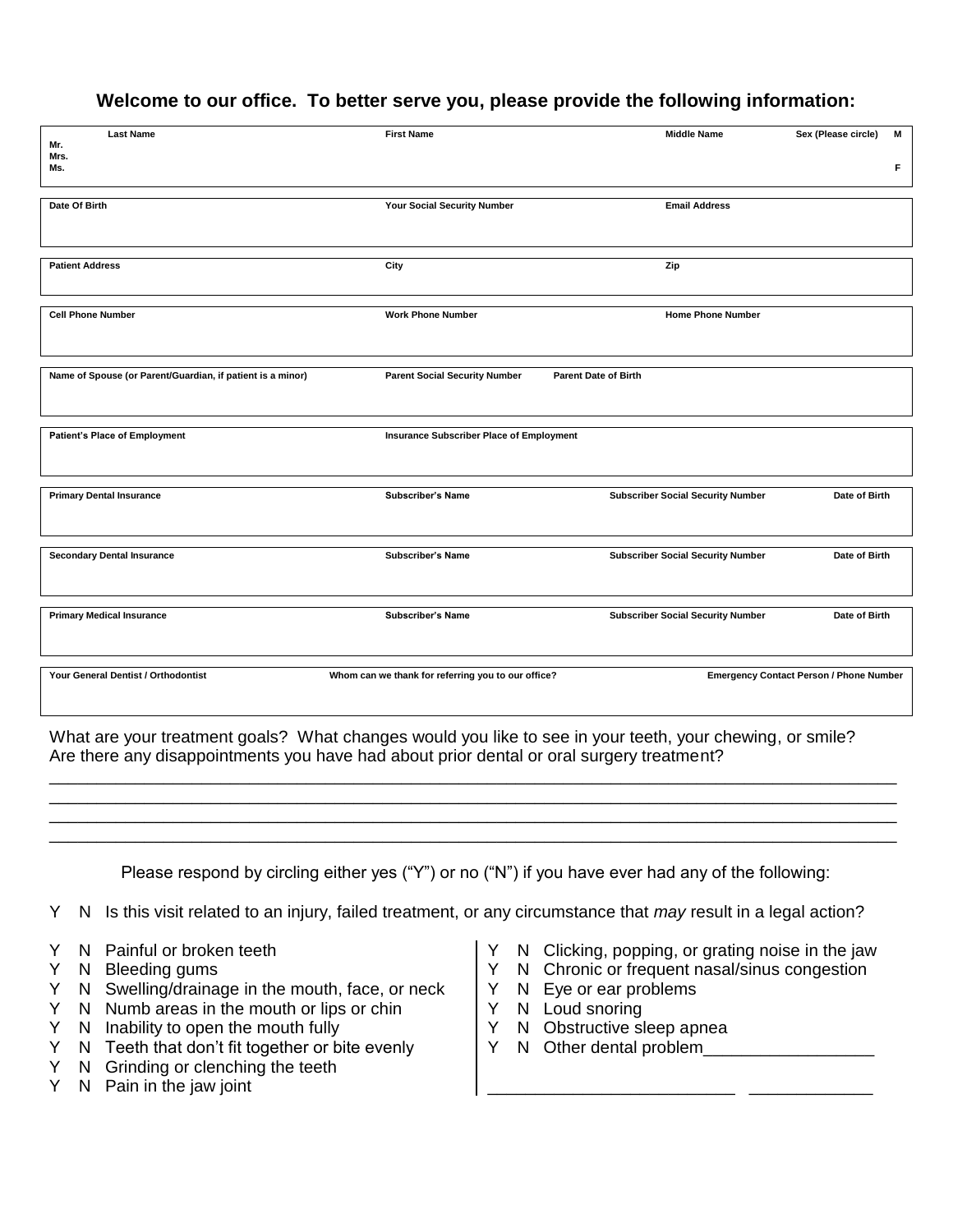## **Welcome to our office. To better serve you, please provide the following information:**

| <b>Last Name</b><br>Mr.                                                                                  | <b>First Name</b>                                  | <b>Middle Name</b>                       | Sex (Please circle)<br>М                       |  |
|----------------------------------------------------------------------------------------------------------|----------------------------------------------------|------------------------------------------|------------------------------------------------|--|
| Mrs.<br>Ms.                                                                                              |                                                    |                                          | F                                              |  |
| Date Of Birth                                                                                            | Your Social Security Number                        | <b>Email Address</b>                     |                                                |  |
| <b>Patient Address</b>                                                                                   | City                                               | Zip                                      |                                                |  |
| <b>Cell Phone Number</b>                                                                                 | <b>Work Phone Number</b>                           | <b>Home Phone Number</b>                 |                                                |  |
| Name of Spouse (or Parent/Guardian, if patient is a minor)                                               | <b>Parent Social Security Number</b>               | <b>Parent Date of Birth</b>              |                                                |  |
| Patient's Place of Employment                                                                            | Insurance Subscriber Place of Employment           |                                          |                                                |  |
| <b>Primary Dental Insurance</b>                                                                          | <b>Subscriber's Name</b>                           | <b>Subscriber Social Security Number</b> | Date of Birth                                  |  |
| <b>Secondary Dental Insurance</b>                                                                        | <b>Subscriber's Name</b>                           | <b>Subscriber Social Security Number</b> | Date of Birth                                  |  |
| <b>Primary Medical Insurance</b>                                                                         | <b>Subscriber's Name</b>                           | <b>Subscriber Social Security Number</b> | Date of Birth                                  |  |
| Your General Dentist / Orthodontist                                                                      | Whom can we thank for referring you to our office? |                                          | <b>Emergency Contact Person / Phone Number</b> |  |
| What are your treatment goals? What changes would you like to see in your teeth, your chewing, or smile? |                                                    |                                          |                                                |  |

Are there any disappointments you have had about prior dental or oral surgery treatment?

Please respond by circling either yes ("Y") or no ("N") if you have ever had any of the following:

\_\_\_\_\_\_\_\_\_\_\_\_\_\_\_\_\_\_\_\_\_\_\_\_\_\_\_\_\_\_\_\_\_\_\_\_\_\_\_\_\_\_\_\_\_\_\_\_\_\_\_\_\_\_\_\_\_\_\_\_\_\_\_\_\_\_\_\_\_\_\_\_\_\_\_\_\_\_\_\_\_\_\_\_\_\_\_\_\_ \_\_\_\_\_\_\_\_\_\_\_\_\_\_\_\_\_\_\_\_\_\_\_\_\_\_\_\_\_\_\_\_\_\_\_\_\_\_\_\_\_\_\_\_\_\_\_\_\_\_\_\_\_\_\_\_\_\_\_\_\_\_\_\_\_\_\_\_\_\_\_\_\_\_\_\_\_\_\_\_\_\_\_\_\_\_\_\_\_ \_\_\_\_\_\_\_\_\_\_\_\_\_\_\_\_\_\_\_\_\_\_\_\_\_\_\_\_\_\_\_\_\_\_\_\_\_\_\_\_\_\_\_\_\_\_\_\_\_\_\_\_\_\_\_\_\_\_\_\_\_\_\_\_\_\_\_\_\_\_\_\_\_\_\_\_\_\_\_\_\_\_\_\_\_\_\_\_\_ \_\_\_\_\_\_\_\_\_\_\_\_\_\_\_\_\_\_\_\_\_\_\_\_\_\_\_\_\_\_\_\_\_\_\_\_\_\_\_\_\_\_\_\_\_\_\_\_\_\_\_\_\_\_\_\_\_\_\_\_\_\_\_\_\_\_\_\_\_\_\_\_\_\_\_\_\_\_\_\_\_\_\_\_\_\_\_\_\_

- Y N Is this visit related to an injury, failed treatment, or any circumstance that *may* result in a legal action?
- Y N Painful or broken teeth
- Y N Bleeding gums
- Y N Swelling/drainage in the mouth, face, or neck
- Y N Numb areas in the mouth or lips or chin
- Y N Inability to open the mouth fully
- Y N Teeth that don't fit together or bite evenly
- Y N Grinding or clenching the teeth
- Y N Pain in the jaw joint
- Y N Clicking, popping, or grating noise in the jaw
- Y N Chronic or frequent nasal/sinus congestion

\_\_\_\_\_\_\_\_\_\_\_\_\_\_\_\_\_\_\_\_\_\_\_\_\_\_ \_\_\_\_\_\_\_\_\_\_\_\_\_

- Y N Eye or ear problems
- Y N Loud snoring
- Y N Obstructive sleep apnea
- Y N Other dental problem